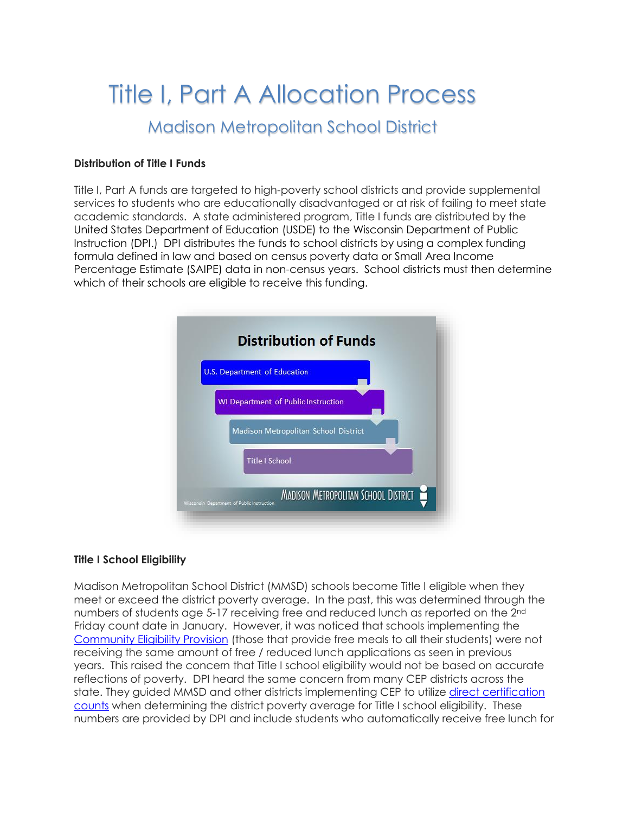# Title I, Part A Allocation Process Madison Metropolitan School District

#### **Distribution of Title I Funds**

Title I, Part A funds are targeted to high-poverty school districts and provide supplemental services to students who are educationally disadvantaged or at risk of failing to meet state academic standards. A state administered program, Title I funds are distributed by the United States Department of Education (USDE) to the Wisconsin Department of Public Instruction (DPI.) DPI distributes the funds to school districts by using a complex funding formula defined in law and based on census poverty data or Small Area Income Percentage Estimate (SAIPE) data in non-census years. School districts must then determine which of their schools are eligible to receive this funding.



#### **Title I School Eligibility**

Madison Metropolitan School District (MMSD) schools become Title I eligible when they meet or exceed the district poverty average. In the past, this was determined through the numbers of students age 5-17 receiving free and reduced lunch as reported on the 2nd Friday count date in January. However, it was noticed that schools implementing the [Community Eligibility Provision](http://dpi.wi.gov/school-nutrition/national-school-lunch-program/community-eligibility) (those that provide free meals to all their students) were not receiving the same amount of free / reduced lunch applications as seen in previous years. This raised the concern that Title I school eligibility would not be based on accurate reflections of poverty. DPI heard the same concern from many CEP districts across the state. They guided MMSD and other districts implementing CEP to utilize [direct certification](http://dpi.wi.gov/school-nutrition/direct-certification)  [counts](http://dpi.wi.gov/school-nutrition/direct-certification) when determining the district poverty average for Title I school eligibility. These numbers are provided by DPI and include students who automatically receive free lunch for